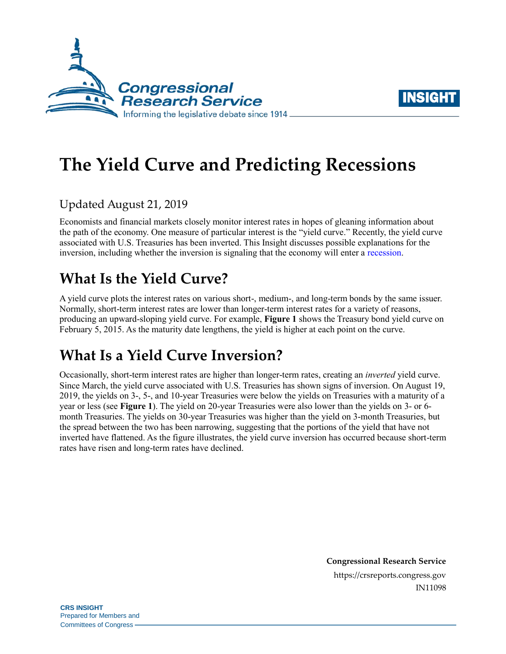



# **The Yield Curve and Predicting Recessions**

### Updated August 21, 2019

Economists and financial markets closely monitor interest rates in hopes of gleaning information about the path of the economy. One measure of particular interest is the "yield curve." Recently, the yield curve associated with U.S. Treasuries has been inverted. This Insight discusses possible explanations for the inversion, including whether the inversion is signaling that the economy will enter a [recession.](https://crsreports.congress.gov/product/pdf/IN/IN10853)

## **What Is the Yield Curve?**

A yield curve plots the interest rates on various short-, medium-, and long-term bonds by the same issuer. Normally, short-term interest rates are lower than longer-term interest rates for a variety of reasons, producing an upward-sloping yield curve. For example, **[Figure 1](#page-1-0)** shows the Treasury bond yield curve on February 5, 2015. As the maturity date lengthens, the yield is higher at each point on the curve.

# **What Is a Yield Curve Inversion?**

Occasionally, short-term interest rates are higher than longer-term rates, creating an *inverted* yield curve. Since March, the yield curve associated with U.S. Treasuries has shown signs of inversion. On August 19, 2019, the yields on 3-, 5-, and 10-year Treasuries were below the yields on Treasuries with a maturity of a year or less (see **[Figure 1](#page-1-0)**). The yield on 20-year Treasuries were also lower than the yields on 3- or 6 month Treasuries. The yields on 30-year Treasuries was higher than the yield on 3-month Treasuries, but the spread between the two has been narrowing, suggesting that the portions of the yield that have not inverted have flattened. As the figure illustrates, the yield curve inversion has occurred because short-term rates have risen and long-term rates have declined.

> **Congressional Research Service** https://crsreports.congress.gov IN11098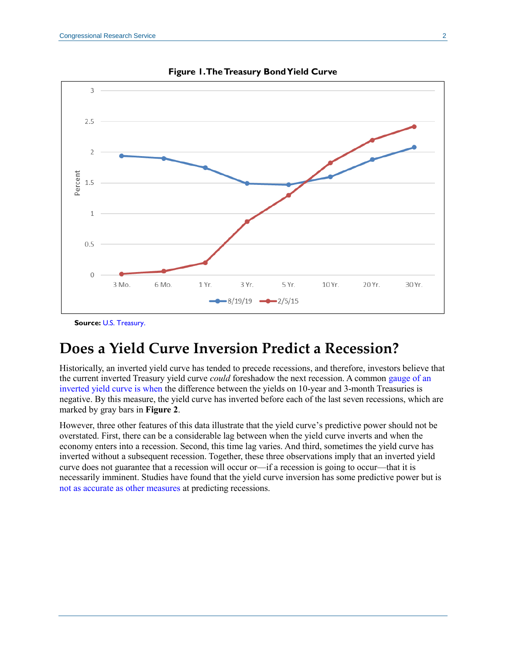<span id="page-1-0"></span>

**Figure 1. The Treasury Bond Yield Curve**

**Source:** [U.S. Treasury.](https://www.treasury.gov/resource-center/data-chart-center/interest-rates/pages/textview.aspx?data=yield)

### **Does a Yield Curve Inversion Predict a Recession?**

Historically, an inverted yield curve has tended to precede recessions, and therefore, investors believe that the current inverted Treasury yield curve *could* foreshadow the next recession. A common [gauge of an](https://www.frbsf.org/economic-research/publications/economic-letter/2018/august/information-in-yield-curve-about-future-recessions/?utm_source=mailchimp&utm_medium=email&utm_campaign=economic-letter)  [inverted yield curve is when](https://www.frbsf.org/economic-research/publications/economic-letter/2018/august/information-in-yield-curve-about-future-recessions/?utm_source=mailchimp&utm_medium=email&utm_campaign=economic-letter) the difference between the yields on 10-year and 3-month Treasuries is negative. By this measure, the yield curve has inverted before each of the last seven recessions, which are marked by gray bars in **[Figure 2](#page-2-0)**.

However, three other features of this data illustrate that the yield curve's predictive power should not be overstated. First, there can be a considerable lag between when the yield curve inverts and when the economy enters into a recession. Second, this time lag varies. And third, sometimes the yield curve has inverted without a subsequent recession. Together, these three observations imply that an inverted yield curve does not guarantee that a recession will occur or—if a recession is going to occur—that it is necessarily imminent. Studies have found that the yield curve inversion has some predictive power but is [not as accurate as other measures](https://www.federalreserve.gov/econres/notes/feds-notes/predicting-recession-probabilities-using-the-slope-of-the-yield-curve-20180301.htm) at predicting recessions.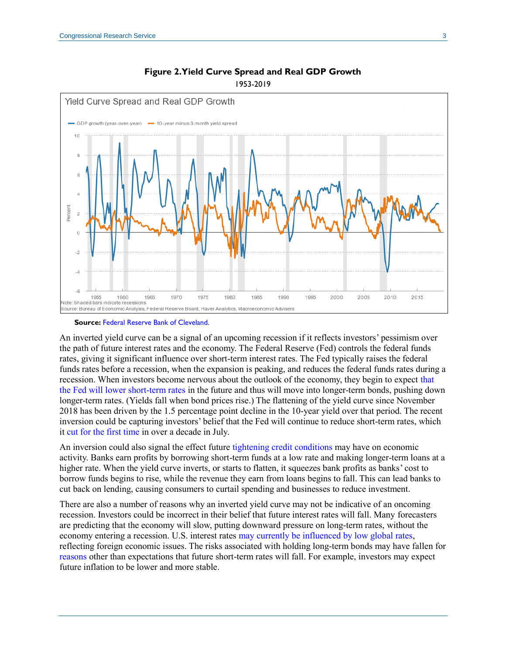<span id="page-2-0"></span>

#### **Figure 2. Yield Curve Spread and Real GDP Growth** 1953-2019

#### **Source:** [Federal Reserve Bank of Cleveland.](https://www.clevelandfed.org/our-research/indicators-and-data/yield-curve-and-gdp-growth.aspx)

An inverted yield curve can be a signal of an upcoming recession if it reflects investors' pessimism over the path of future interest rates and the economy. The Federal Reserve (Fed) controls the federal funds rates, giving it significant influence over short-term interest rates. The Fed typically raises the federal funds rates before a recession, when the expansion is peaking, and reduces the federal funds rates during a recession. When investors become nervous about the outlook of the economy, they begin to expect [that](https://www.federalreserve.gov/econres/feds/files/2018055pap.pdf)  [the Fed will lower short-term rates](https://www.federalreserve.gov/econres/feds/files/2018055pap.pdf) in the future and thus will move into longer-term bonds, pushing down longer-term rates. (Yields fall when bond prices rise.) The flattening of the yield curve since November 2018 has been driven by the 1.5 percentage point decline in the 10-year yield over that period. The recent inversion could be capturing investors' belief that the Fed will continue to reduce short-term rates, which it [cut for the first time](https://crsreports.congress.gov/product/pdf/IN/IN11152) in over a decade in July.

An inversion could also signal the effect future [tightening credit conditions](https://www.stlouisfed.org/on-the-economy/2018/december/inverted-yield-curve-cause-recession) may have on economic activity. Banks earn profits by borrowing short-term funds at a low rate and making longer-term loans at a higher rate. When the yield curve inverts, or starts to flatten, it squeezes bank profits as banks' cost to borrow funds begins to rise, while the revenue they earn from loans begins to fall. This can lead banks to cut back on lending, causing consumers to curtail spending and businesses to reduce investment.

There are also a number of reasons why an inverted yield curve may not be indicative of an oncoming recession. Investors could be incorrect in their belief that future interest rates will fall. Many [forecasters](https://www.wsj.com/graphics/econsurvey/) are predicting that the economy will slow, putting downward pressure on long-term rates, without the economy entering a recession. U.S. interest rates [may currently be influenced by low global rates,](https://crsreports.congress.gov/product/pdf/IN/IN11074) reflecting foreign economic issues. The risks associated with holding long-term bonds may have fallen for [reasons](https://www.brookings.edu/blog/ben-bernanke/2015/04/13/why-are-interest-rates-so-low-part-4-term-premiums/) other than expectations that future short-term rates will fall. For example, investors may expect future inflation to be lower and more stable.